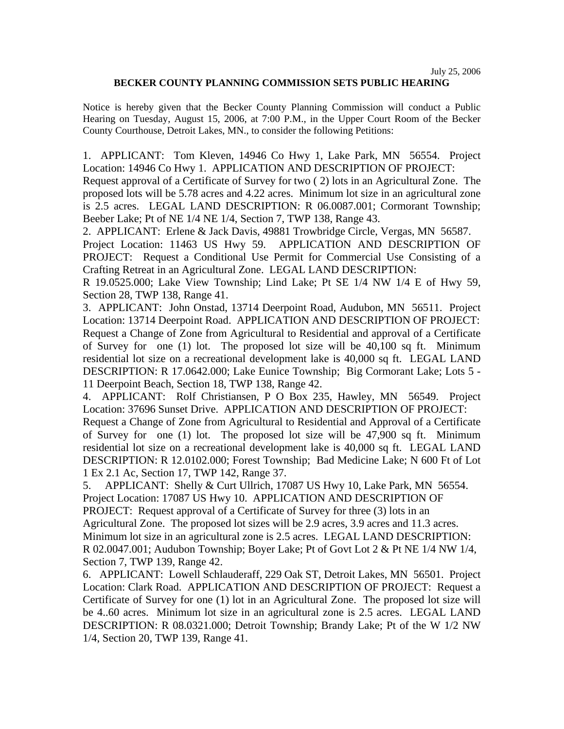## **BECKER COUNTY PLANNING COMMISSION SETS PUBLIC HEARING**

Notice is hereby given that the Becker County Planning Commission will conduct a Public Hearing on Tuesday, August 15, 2006, at 7:00 P.M., in the Upper Court Room of the Becker County Courthouse, Detroit Lakes, MN., to consider the following Petitions:

1. APPLICANT: Tom Kleven, 14946 Co Hwy 1, Lake Park, MN 56554. Project Location: 14946 Co Hwy 1. APPLICATION AND DESCRIPTION OF PROJECT:

Request approval of a Certificate of Survey for two ( 2) lots in an Agricultural Zone. The proposed lots will be 5.78 acres and 4.22 acres. Minimum lot size in an agricultural zone is 2.5 acres. LEGAL LAND DESCRIPTION: R 06.0087.001; Cormorant Township; Beeber Lake; Pt of NE 1/4 NE 1/4, Section 7, TWP 138, Range 43.

2. APPLICANT: Erlene & Jack Davis, 49881 Trowbridge Circle, Vergas, MN 56587. Project Location: 11463 US Hwy 59. APPLICATION AND DESCRIPTION OF PROJECT: Request a Conditional Use Permit for Commercial Use Consisting of a Crafting Retreat in an Agricultural Zone. LEGAL LAND DESCRIPTION:

R 19.0525.000; Lake View Township; Lind Lake; Pt SE 1/4 NW 1/4 E of Hwy 59, Section 28, TWP 138, Range 41.

3. APPLICANT: John Onstad, 13714 Deerpoint Road, Audubon, MN 56511. Project Location: 13714 Deerpoint Road. APPLICATION AND DESCRIPTION OF PROJECT: Request a Change of Zone from Agricultural to Residential and approval of a Certificate of Survey for one (1) lot. The proposed lot size will be 40,100 sq ft. Minimum residential lot size on a recreational development lake is 40,000 sq ft. LEGAL LAND DESCRIPTION: R 17.0642.000; Lake Eunice Township; Big Cormorant Lake; Lots 5 - 11 Deerpoint Beach, Section 18, TWP 138, Range 42.

4. APPLICANT: Rolf Christiansen, P O Box 235, Hawley, MN 56549. Project Location: 37696 Sunset Drive. APPLICATION AND DESCRIPTION OF PROJECT:

Request a Change of Zone from Agricultural to Residential and Approval of a Certificate of Survey for one (1) lot. The proposed lot size will be 47,900 sq ft. Minimum residential lot size on a recreational development lake is 40,000 sq ft. LEGAL LAND DESCRIPTION: R 12.0102.000; Forest Township; Bad Medicine Lake; N 600 Ft of Lot 1 Ex 2.1 Ac, Section 17, TWP 142, Range 37.

5. APPLICANT: Shelly & Curt Ullrich, 17087 US Hwy 10, Lake Park, MN 56554. Project Location: 17087 US Hwy 10. APPLICATION AND DESCRIPTION OF PROJECT: Request approval of a Certificate of Survey for three (3) lots in an Agricultural Zone. The proposed lot sizes will be 2.9 acres, 3.9 acres and 11.3 acres. Minimum lot size in an agricultural zone is 2.5 acres. LEGAL LAND DESCRIPTION: R 02.0047.001; Audubon Township; Boyer Lake; Pt of Govt Lot 2 & Pt NE 1/4 NW 1/4, Section 7, TWP 139, Range 42.

6. APPLICANT: Lowell Schlauderaff, 229 Oak ST, Detroit Lakes, MN 56501. Project Location: Clark Road. APPLICATION AND DESCRIPTION OF PROJECT: Request a Certificate of Survey for one (1) lot in an Agricultural Zone. The proposed lot size will be 4..60 acres. Minimum lot size in an agricultural zone is 2.5 acres. LEGAL LAND DESCRIPTION: R 08.0321.000; Detroit Township; Brandy Lake; Pt of the W 1/2 NW 1/4, Section 20, TWP 139, Range 41.